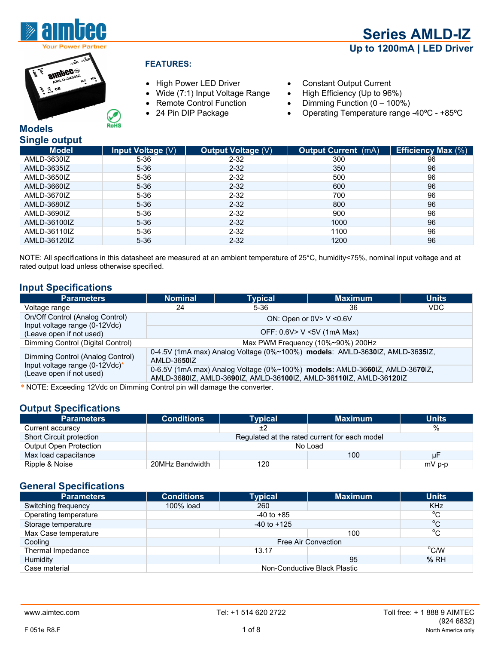

 **Series AMLD-IZ Up to 1200mA | LED Driver** 



**RoHS** 

- High Power LED Driver Constant Output Current
- Wide (7:1) Input Voltage Range High Efficiency (Up to 96%)
- 
- 
- 
- 
- Remote Control Function Dimming Function (0 100%)<br>• 24 Pin DIP Package Operating Temperature range
- 24 Pin DIP Package Operating Temperature range -40°C +85°C

#### **Models Single output**

| <b>Pristic Carput</b> |                   |                           |                            |                           |
|-----------------------|-------------------|---------------------------|----------------------------|---------------------------|
| <b>Model</b>          | Input Voltage (V) | <b>Output Voltage (V)</b> | <b>Output Current</b> (mA) | <b>Efficiency Max (%)</b> |
| AMLD-3630IZ           | $5 - 36$          | $2 - 32$                  | 300                        | 96                        |
| AMLD-3635IZ           | $5 - 36$          | $2 - 32$                  | 350                        | 96                        |
| AMLD-3650IZ           | $5 - 36$          | $2 - 32$                  | 500                        | 96                        |
| AMLD-3660IZ           | $5 - 36$          | $2 - 32$                  | 600                        | 96                        |
| AMLD-3670IZ           | $5 - 36$          | $2 - 32$                  | 700                        | 96                        |
| AMLD-3680IZ           | $5 - 36$          | $2 - 32$                  | 800                        | 96                        |
| AMLD-3690IZ           | $5 - 36$          | $2 - 32$                  | 900                        | 96                        |
| AMLD-36100IZ          | $5 - 36$          | $2 - 32$                  | 1000                       | 96                        |
| AMLD-36110IZ          | $5 - 36$          | $2 - 32$                  | 1100                       | 96                        |
| AMLD-36120IZ          | $5 - 36$          | $2 - 32$                  | 1200                       | 96                        |
|                       |                   |                           |                            |                           |

NOTE: All specifications in this datasheet are measured at an ambient temperature of 25°C, humidity<75%, nominal input voltage and at rated output load unless otherwise specified.

#### **Input Specifications**

| <b>Parameters</b>                                                | <b>Nominal</b>                                                                                                                                    | <b>Typical</b> | <b>Maximum</b>                    | <b>Units</b> |
|------------------------------------------------------------------|---------------------------------------------------------------------------------------------------------------------------------------------------|----------------|-----------------------------------|--------------|
| Voltage range                                                    | 24                                                                                                                                                | 5-36           | 36                                | VDC.         |
| On/Off Control (Analog Control)<br>Input voltage range (0-12Vdc) | ON: Open or $0V > V < 0.6V$                                                                                                                       |                |                                   |              |
| (Leave open if not used)                                         |                                                                                                                                                   |                | OFF: 0.6V> V <5V (1mA Max)        |              |
| Dimming Control (Digital Control)                                |                                                                                                                                                   |                | Max PWM Frequency (10%~90%) 200Hz |              |
| Dimming Control (Analog Control)                                 | 0-4.5V (1mA max) Analog Voltage (0%~100%) models: AMLD-3630IZ, AMLD-3635IZ,<br>AMLD-3650IZ                                                        |                |                                   |              |
| Input voltage range (0-12Vdc)*<br>(Leave open if not used)       | 0-6.5V (1mA max) Analog Voltage (0%~100%) models: AMLD-3660IZ, AMLD-3670IZ,<br>AMLD-3680IZ, AMLD-3690IZ, AMLD-36100IZ, AMLD-36110IZ, AMLD-36120IZ |                |                                   |              |

\* NOTE: Exceeding 12Vdc on Dimming Control pin will damage the converter.

#### **Output Specifications**

| <b>Parameters</b>               | <b>Conditions</b> | <b>Typical</b> | <b>Maximum</b>                                | <b>Units</b> |
|---------------------------------|-------------------|----------------|-----------------------------------------------|--------------|
| Current accuracy                |                   | ±2             |                                               | %            |
| <b>Short Circuit protection</b> |                   |                | Regulated at the rated current for each model |              |
| <b>Output Open Protection</b>   | No Load           |                |                                               |              |
| Max load capacitance            |                   |                | 100                                           | μF           |
| Ripple & Noise                  | 20MHz Bandwidth   | 120            |                                               | $mV$ p-p     |

#### **General Specifications**

| <b>Parameters</b>     | <b>Conditions</b>            | <b>Typical</b>  | <b>Maximum</b> | <b>Units</b>     |
|-----------------------|------------------------------|-----------------|----------------|------------------|
| Switching frequency   | 100% load                    | 260             |                | <b>KHz</b>       |
| Operating temperature |                              | $-40$ to $+85$  |                | $^{\circ}$ C     |
| Storage temperature   |                              | $-40$ to $+125$ |                | $^{\circ}$ C     |
| Max Case temperature  |                              |                 | 100            | $\rm{^{\circ}C}$ |
| Cooling               | Free Air Convection          |                 |                |                  |
| Thermal Impedance     |                              | 13.17           |                | $\rm ^{o}$ C/W   |
| Humidity              |                              |                 | 95             | %RH              |
| Case material         | Non-Conductive Black Plastic |                 |                |                  |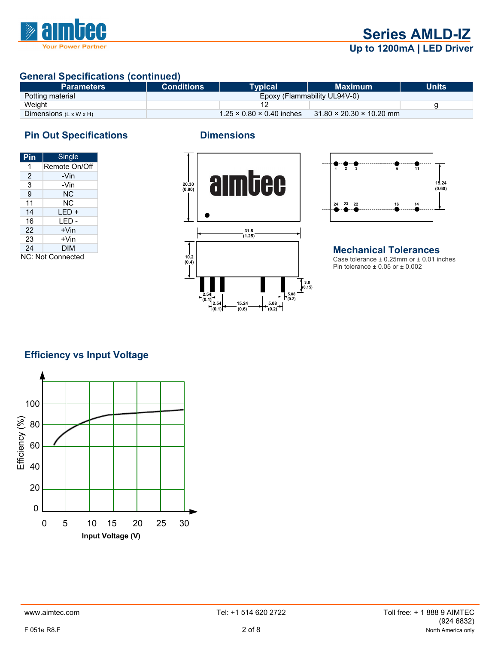

### **General Specifications (continued)**

| <b>Parameters</b>                  | <b>Conditions</b> | <b>Typical</b>                        | <b>Maximum</b>                       | <b>Units</b> |
|------------------------------------|-------------------|---------------------------------------|--------------------------------------|--------------|
| Potting material                   |                   |                                       | Epoxy (Flammability UL94V-0)         |              |
| Weight                             |                   |                                       |                                      |              |
| Dimensions $(L \times W \times H)$ |                   | $1.25 \times 0.80 \times 0.40$ inches | $31.80 \times 20.30 \times 10.20$ mm |              |

# **Pin Out Specifications Dimensions**

| Pin               | Single        |  |
|-------------------|---------------|--|
| 1                 | Remote On/Off |  |
| 2                 | -Vin          |  |
| 3                 | -Vin          |  |
| 9                 | ΝC            |  |
| 11                | ΝC            |  |
| 14                | LED +         |  |
| 16                | LED -         |  |
| 22                | +Vin          |  |
| 23                | +Vin          |  |
| 24                | DIM           |  |
| NC: Not Connected |               |  |





#### **Mechanical Tolerances**  Case tolerance  $\pm$  0.25mm or  $\pm$  0.01 inches Pin tolerance  $\pm$  0.05 or  $\pm$  0.002

### **Efficiency vs Input Voltage**

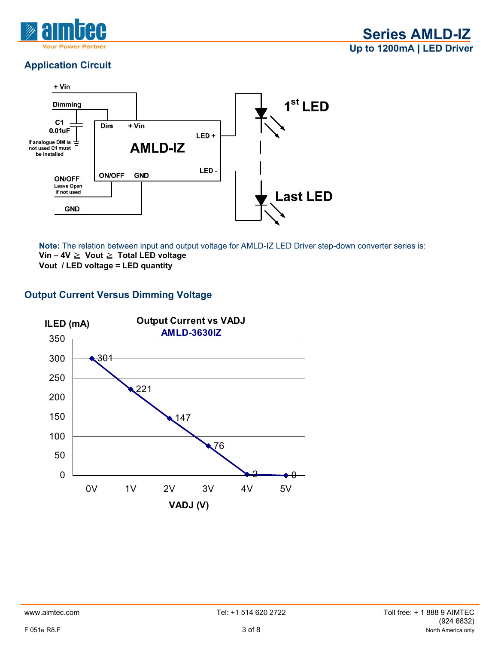

# **Application Circuit**



**Note:** The relation between input and output voltage for AMLD-IZ LED Driver step-down converter series is: **Vin – 4V** ≧ **Vout** ≧ **Total LED voltage Vout / LED voltage = LED quantity** 

#### **Output Current Versus Dimming Voltage**

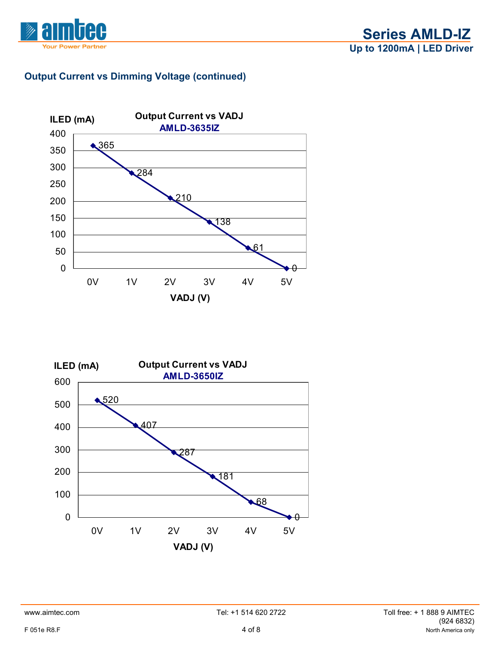



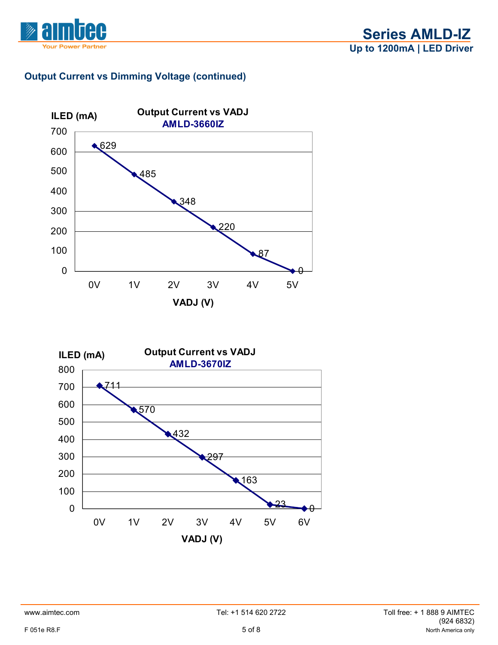



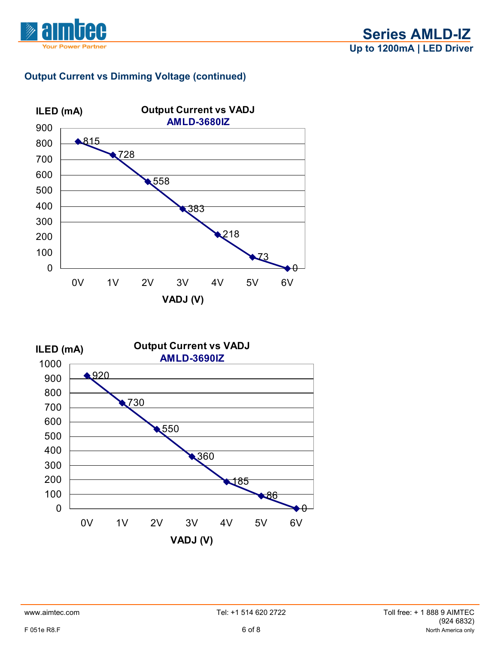



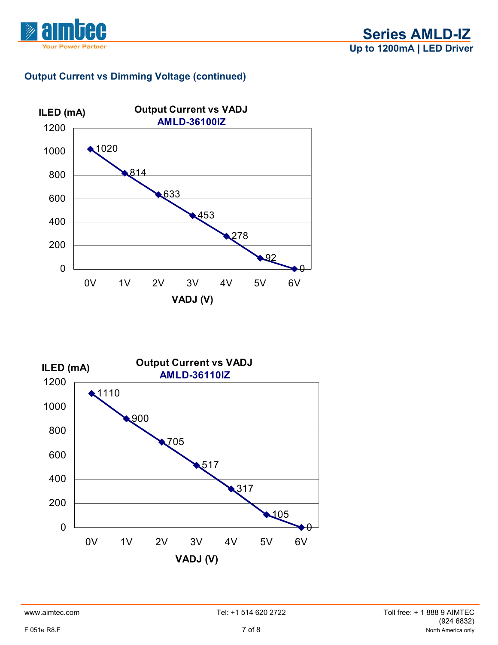